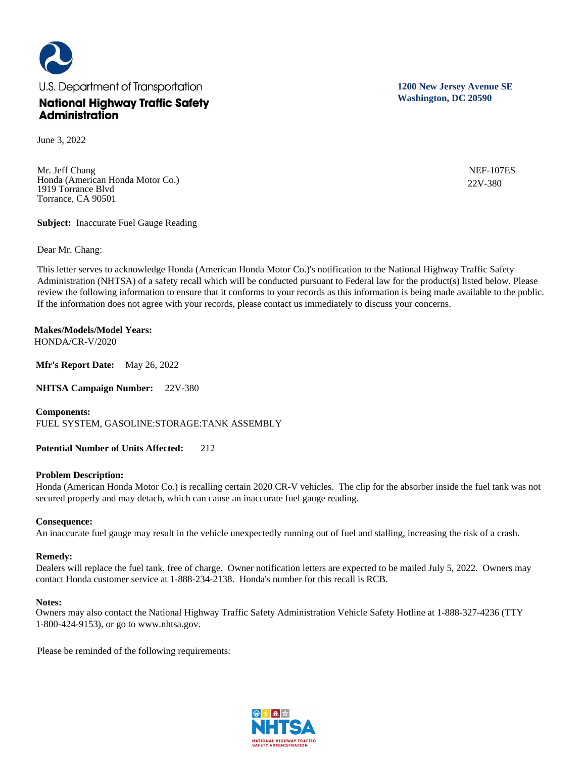

June 3, 2022

Mr. Jeff Chang Honda (American Honda Motor Co.) 1919 Torrance Blvd Torrance, CA 90501

**Subject:** Inaccurate Fuel Gauge Reading

Dear Mr. Chang:

This letter serves to acknowledge Honda (American Honda Motor Co.)'s notification to the National Highway Traffic Safety Administration (NHTSA) of a safety recall which will be conducted pursuant to Federal law for the product(s) listed below. Please review the following information to ensure that it conforms to your records as this information is being made available to the public. If the information does not agree with your records, please contact us immediately to discuss your concerns.

**Makes/Models/Model Years:**  HONDA/CR-V/2020

**Mfr's Report Date:** May 26, 2022

**NHTSA Campaign Number:** 22V-380

**Components:** 

FUEL SYSTEM, GASOLINE:STORAGE:TANK ASSEMBLY

**Potential Number of Units Affected:** 212

## **Problem Description:**

Honda (American Honda Motor Co.) is recalling certain 2020 CR-V vehicles. The clip for the absorber inside the fuel tank was not secured properly and may detach, which can cause an inaccurate fuel gauge reading.

## **Consequence:**

An inaccurate fuel gauge may result in the vehicle unexpectedly running out of fuel and stalling, increasing the risk of a crash.

## **Remedy:**

Dealers will replace the fuel tank, free of charge. Owner notification letters are expected to be mailed July 5, 2022. Owners may contact Honda customer service at 1-888-234-2138. Honda's number for this recall is RCB.

## **Notes:**

Owners may also contact the National Highway Traffic Safety Administration Vehicle Safety Hotline at 1-888-327-4236 (TTY 1-800-424-9153), or go to www.nhtsa.gov.

Please be reminded of the following requirements:



**1200 New Jersey Avenue SE Washington, DC 20590**

> NEF-107ES 22V-380